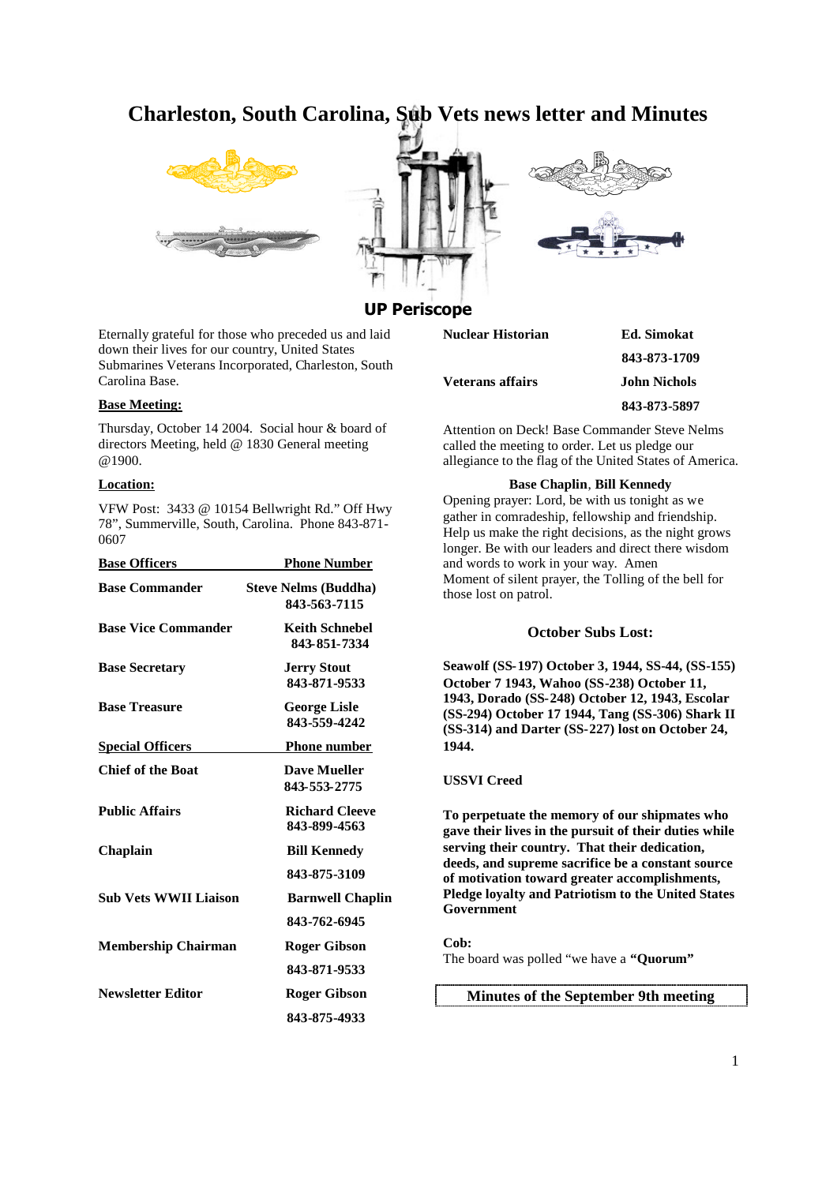# **Charleston, South Carolina, Sub Vets news letter and Minutes**







## **UP Periscope**

Eternally grateful for those who preceded us and laid down their lives for our country, United States Submarines Veterans Incorporated, Charleston, South Carolina Base.

#### **Base Meeting:**

Thursday, October 14 2004. Social hour & board of directors Meeting, held @ 1830 General meeting @1900.

## **Location:**

VFW Post: 3433 @ 10154 Bellwright Rd." Off Hwy 78", Summerville, South, Carolina. Phone 843-871- 0607

| <b>Base Officers</b>         | <b>Phone Number</b>                         |
|------------------------------|---------------------------------------------|
| <b>Base Commander</b>        | <b>Steve Nelms (Buddha)</b><br>843-563-7115 |
| <b>Base Vice Commander</b>   | <b>Keith Schnebel</b><br>843-851-7334       |
| <b>Base Secretary</b>        | <b>Jerry Stout</b><br>843-871-9533          |
| <b>Base Treasure</b>         | <b>George Lisle</b><br>843-559-4242         |
| <b>Special Officers</b>      | <b>Phone number</b>                         |
| <b>Chief of the Boat</b>     | <b>Dave Mueller</b><br>843-553-2775         |
| <b>Public Affairs</b>        | <b>Richard Cleeve</b><br>843-899-4563       |
| <b>Chaplain</b>              | <b>Bill Kennedy</b>                         |
|                              | 843-875-3109                                |
| <b>Sub Vets WWII Liaison</b> | <b>Barnwell Chaplin</b>                     |
|                              | 843-762-6945                                |
| <b>Membership Chairman</b>   | <b>Roger Gibson</b>                         |
|                              | 843-871-9533                                |
| <b>Newsletter Editor</b>     | Roger Gibson                                |
|                              | 843-875-4933                                |

| Nuclear Historian | <b>Ed.</b> Simokat  |
|-------------------|---------------------|
|                   | 843-873-1709        |
| Veterans affairs  | <b>John Nichols</b> |
|                   | 843-873-5897        |
|                   |                     |

Attention on Deck! Base Commander Steve Nelms called the meeting to order. Let us pledge our allegiance to the flag of the United States of America.

#### **Base Chaplin**, **Bill Kennedy**

Opening prayer: Lord, be with us tonight as we gather in comradeship, fellowship and friendship. Help us make the right decisions, as the night grows longer. Be with our leaders and direct there wisdom and words to work in your way. Amen Moment of silent prayer, the Tolling of the bell for those lost on patrol.

#### **October Subs Lost:**

**Seawolf (SS-197) October 3, 1944, SS-44, (SS-155) October 7 1943, Wahoo (SS-238) October 11, 1943, Dorado (SS-248) October 12, 1943, Escolar (SS-294) October 17 1944, Tang (SS-306) Shark II (SS-314) and Darter (SS-227) lost on October 24, 1944.**

## **USSVI Creed**

**To perpetuate the memory of our shipmates who gave their lives in the pursuit of their duties while serving their country. That their dedication, deeds, and supreme sacrifice be a constant source of motivation toward greater accomplishments, Pledge loyalty and Patriotism to the United States Government**

**Cob:** The board was polled "we have a **"Quorum"**

**Minutes of the September 9th meeting**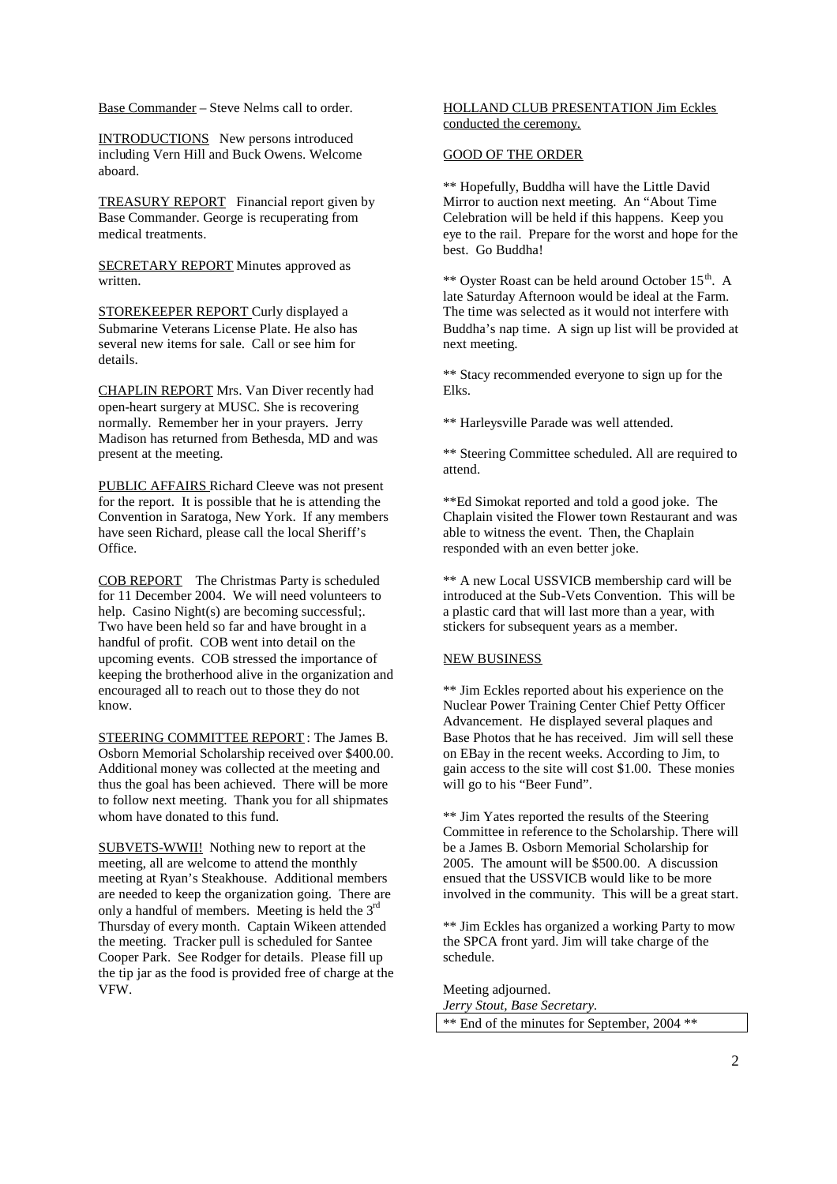Base Commander – Steve Nelms call to order.

INTRODUCTIONS New persons introduced including Vern Hill and Buck Owens. Welcome aboard.

TREASURY REPORT Financial report given by Base Commander. George is recuperating from medical treatments.

SECRETARY REPORT Minutes approved as written.

STOREKEEPER REPORT Curly displayed a Submarine Veterans License Plate. He also has several new items for sale. Call or see him for details.

CHAPLIN REPORT Mrs. Van Diver recently had open-heart surgery at MUSC. She is recovering normally. Remember her in your prayers. Jerry Madison has returned from Bethesda, MD and was present at the meeting.

PUBLIC AFFAIRS Richard Cleeve was not present for the report. It is possible that he is attending the Convention in Saratoga, New York. If any members have seen Richard, please call the local Sheriff's Office.

COB REPORT The Christmas Party is scheduled for 11 December 2004. We will need volunteers to help. Casino Night(s) are becoming successful; Two have been held so far and have brought in a handful of profit. COB went into detail on the upcoming events. COB stressed the importance of keeping the brotherhood alive in the organization and encouraged all to reach out to those they do not know.

STEERING COMMITTEE REPORT : The James B. Osborn Memorial Scholarship received over \$400.00. Additional money was collected at the meeting and thus the goal has been achieved. There will be more to follow next meeting. Thank you for all shipmates whom have donated to this fund.

SUBVETS-WWII! Nothing new to report at the meeting, all are welcome to attend the monthly meeting at Ryan's Steakhouse. Additional members are needed to keep the organization going. There are only a handful of members. Meeting is held the  $3<sup>rd</sup>$ Thursday of every month. Captain Wikeen attended the meeting. Tracker pull is scheduled for Santee Cooper Park. See Rodger for details. Please fill up the tip jar as the food is provided free of charge at the VFW.

## HOLLAND CLUB PRESENTATION Jim Eckles conducted the ceremony.

#### GOOD OF THE ORDER

\*\* Hopefully, Buddha will have the Little David Mirror to auction next meeting. An "About Time Celebration will be held if this happens. Keep you eye to the rail. Prepare for the worst and hope for the best. Go Buddha!

\*\* Oyster Roast can be held around October 15<sup>th</sup>. A late Saturday Afternoon would be ideal at the Farm. The time was selected as it would not interfere with Buddha's nap time. A sign up list will be provided at next meeting.

\*\* Stacy recommended everyone to sign up for the Elks.

\*\* Harleysville Parade was well attended.

\*\* Steering Committee scheduled. All are required to attend.

\*\*Ed Simokat reported and told a good joke. The Chaplain visited the Flower town Restaurant and was able to witness the event. Then, the Chaplain responded with an even better joke.

\*\* A new Local USSVICB membership card will be introduced at the Sub-Vets Convention. This will be a plastic card that will last more than a year, with stickers for subsequent years as a member.

## NEW BUSINESS

\*\* Jim Eckles reported about his experience on the Nuclear Power Training Center Chief Petty Officer Advancement. He displayed several plaques and Base Photos that he has received. Jim will sell these on EBay in the recent weeks. According to Jim, to gain access to the site will cost \$1.00. These monies will go to his "Beer Fund".

\*\* Jim Yates reported the results of the Steering Committee in reference to the Scholarship. There will be a James B. Osborn Memorial Scholarship for 2005. The amount will be \$500.00. A discussion ensued that the USSVICB would like to be more involved in the community. This will be a great start.

\*\* Jim Eckles has organized a working Party to mow the SPCA front yard. Jim will take charge of the schedule.

Meeting adjourned. *Jerry Stout, Base Secretary.* \*\* End of the minutes for September, 2004 \*\*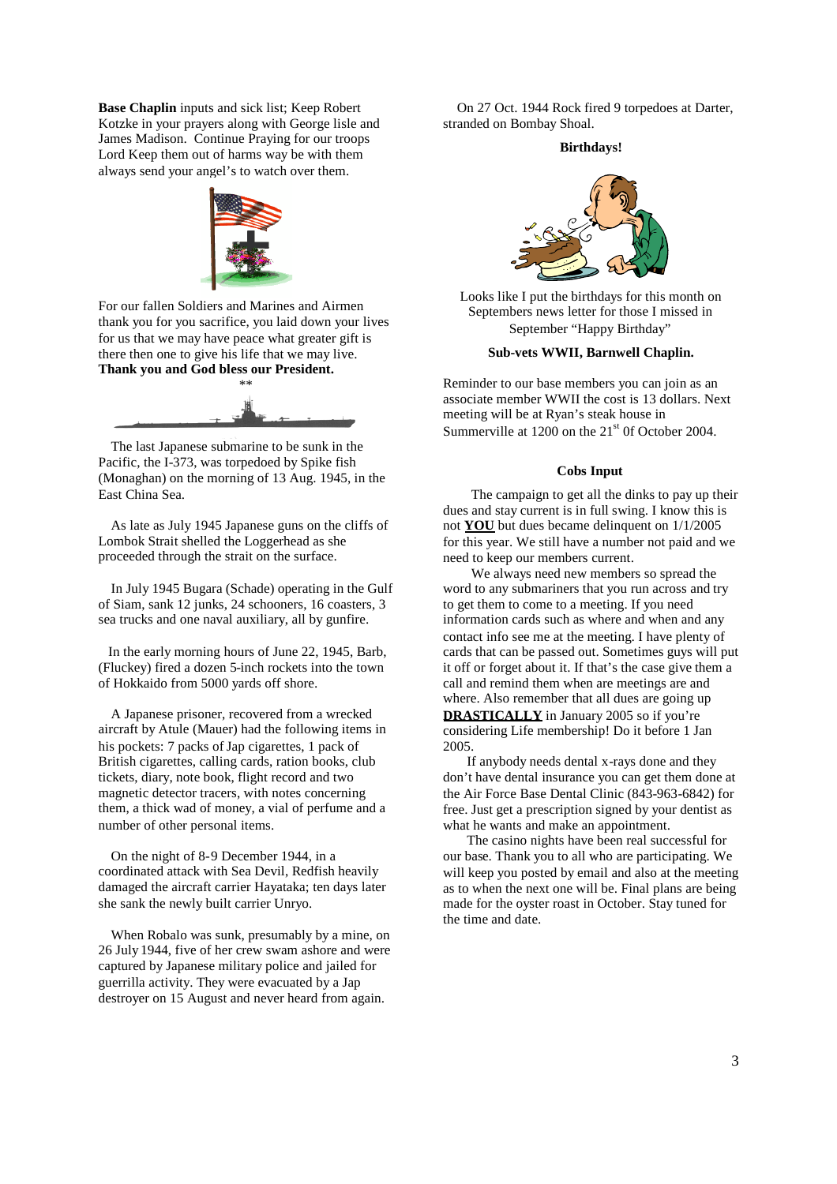**Base Chaplin** inputs and sick list; Keep Robert Kotzke in your prayers along with George lisle and James Madison. Continue Praying for our troops Lord Keep them out of harms way be with them always send your angel's to watch over them.



For our fallen Soldiers and Marines and Airmen thank you for you sacrifice, you laid down your lives for us that we may have peace what greater gift is there then one to give his life that we may live. **Thank you and God bless our President.**



The last Japanese submarine to be sunk in the Pacific, the I-373, was torpedoed by Spike fish (Monaghan) on the morning of 13 Aug. 1945, in the East China Sea.

As late as July 1945 Japanese guns on the cliffs of Lombok Strait shelled the Loggerhead as she proceeded through the strait on the surface.

In July 1945 Bugara (Schade) operating in the Gulf of Siam, sank 12 junks, 24 schooners, 16 coasters, 3 sea trucks and one naval auxiliary, all by gunfire.

In the early morning hours of June 22, 1945, Barb, (Fluckey) fired a dozen 5-inch rockets into the town of Hokkaido from 5000 yards off shore.

A Japanese prisoner, recovered from a wrecked aircraft by Atule (Mauer) had the following items in his pockets: 7 packs of Jap cigarettes, 1 pack of British cigarettes, calling cards, ration books, club tickets, diary, note book, flight record and two magnetic detector tracers, with notes concerning them, a thick wad of money, a vial of perfume and a number of other personal items.

On the night of 8-9 December 1944, in a coordinated attack with Sea Devil, Redfish heavily damaged the aircraft carrier Hayataka; ten days later she sank the newly built carrier Unryo.

When Robalo was sunk, presumably by a mine, on 26 July 1944, five of her crew swam ashore and were captured by Japanese military police and jailed for guerrilla activity. They were evacuated by a Jap destroyer on 15 August and never heard from again.

On 27 Oct. 1944 Rock fired 9 torpedoes at Darter, stranded on Bombay Shoal.

#### **Birthdays!**



Looks like I put the birthdays for this month on Septembers news letter for those I missed in September "Happy Birthday"

## **Sub-vets WWII, Barnwell Chaplin.**

Reminder to our base members you can join as an associate member WWII the cost is 13 dollars. Next meeting will be at Ryan's steak house in Summerville at  $1200$  on the  $21<sup>st</sup>$  0f October 2004.

#### **Cobs Input**

The campaign to get all the dinks to pay up their dues and stay current is in full swing. I know this is not **YOU** but dues became delinquent on 1/1/2005 for this year. We still have a number not paid and we need to keep our members current.

We always need new members so spread the word to any submariners that you run across and try to get them to come to a meeting. If you need information cards such as where and when and any contact info see me at the meeting. I have plenty of cards that can be passed out. Sometimes guys will put it off or forget about it. If that's the case give them a call and remind them when are meetings are and where. Also remember that all dues are going up **DRASTICALLY** in January 2005 so if you're considering Life membership! Do it before 1 Jan 2005.

If anybody needs dental x-rays done and they don't have dental insurance you can get them done at the Air Force Base Dental Clinic (843-963-6842) for free. Just get a prescription signed by your dentist as what he wants and make an appointment.

The casino nights have been real successful for our base. Thank you to all who are participating. We will keep you posted by email and also at the meeting as to when the next one will be. Final plans are being made for the oyster roast in October. Stay tuned for the time and date.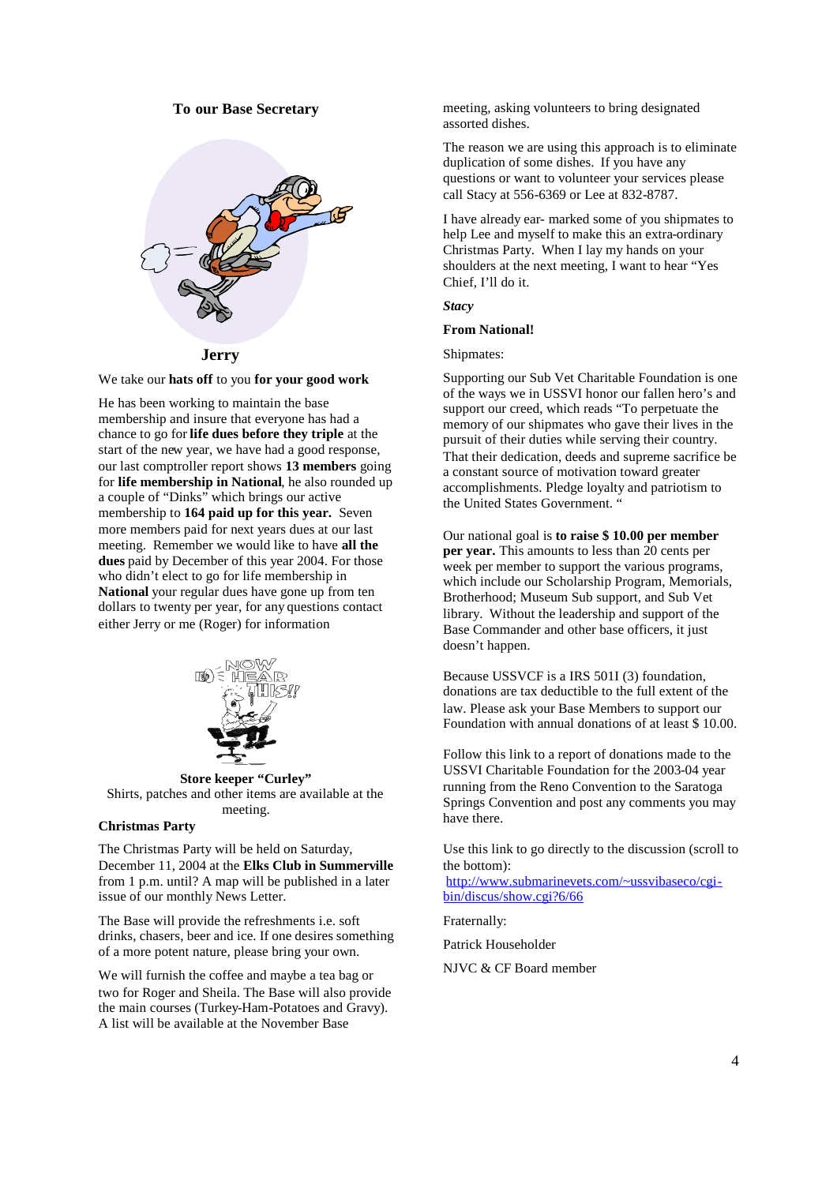## **To our Base Secretary**



We take our **hats off** to you **for your good work**

He has been working to maintain the base membership and insure that everyone has had a chance to go for **life dues before they triple** at the start of the new year, we have had a good response, our last comptroller report shows **13 members** going for **life membership in National**, he also rounded up a couple of "Dinks" which brings our active membership to **164 paid up for this year.** Seven more members paid for next years dues at our last meeting. Remember we would like to have **all the dues** paid by December of this year 2004. For those who didn't elect to go for life membership in **National** your regular dues have gone up from ten dollars to twenty per year, for any questions contact either Jerry or me (Roger) for information



**Store keeper "Curley"** Shirts, patches and other items are available at the meeting.

## **Christmas Party**

The Christmas Party will be held on Saturday, December 11, 2004 at the **Elks Club in Summerville** from 1 p.m. until? A map will be published in a later issue of our monthly News Letter.

The Base will provide the refreshments i.e. soft drinks, chasers, beer and ice. If one desires something of a more potent nature, please bring your own.

We will furnish the coffee and maybe a tea bag or two for Roger and Sheila. The Base will also provide the main courses (Turkey-Ham-Potatoes and Gravy). A list will be available at the November Base

meeting, asking volunteers to bring designated assorted dishes.

The reason we are using this approach is to eliminate duplication of some dishes. If you have any questions or want to volunteer your services please call Stacy at 556-6369 or Lee at 832-8787.

I have already ear- marked some of you shipmates to help Lee and myself to make this an extra-ordinary Christmas Party. When I lay my hands on your shoulders at the next meeting, I want to hear "Yes Chief, I'll do it.

*Stacy*

## **From National!**

Shipmates:

Supporting our Sub Vet Charitable Foundation is one of the ways we in USSVI honor our fallen hero's and support our creed, which reads "To perpetuate the memory of our shipmates who gave their lives in the pursuit of their duties while serving their country. That their dedication, deeds and supreme sacrifice be a constant source of motivation toward greater accomplishments. Pledge loyalty and patriotism to the United States Government. "

Our national goal is **to raise \$ 10.00 per member per year.** This amounts to less than 20 cents per week per member to support the various programs, which include our Scholarship Program, Memorials, Brotherhood; Museum Sub support, and Sub Vet library. Without the leadership and support of the Base Commander and other base officers, it just doesn't happen.

Because USSVCF is a IRS 501I (3) foundation, donations are tax deductible to the full extent of the law. Please ask your Base Members to support our Foundation with annual donations of at least \$ 10.00.

Follow this link to a report of donations made to the USSVI Charitable Foundation for the 2003-04 year running from the Reno Convention to the Saratoga Springs Convention and post any comments you may have there.

Use this link to go directly to the discussion (scroll to the bottom):

http://www.submarinevets.com/~ussvibaseco/cgibin/discus/show.cgi?6/66

Fraternally:

Patrick Householder

NJVC & CF Board member